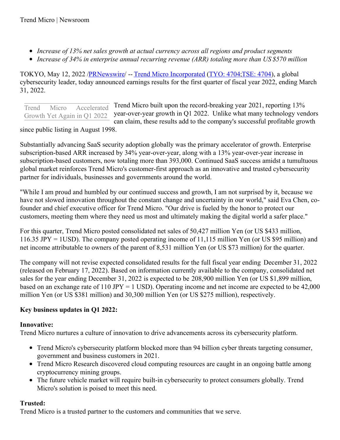- *Increase of 13% net sales growth at actual currency across all regions and product segments*
- *Increase of 34% in enterprise annual recurring revenue (ARR) totaling more than US \$570 million*

TOKYO, May 12, 2022 [/PRNewswire](http://www.prnewswire.com/)/ -- Trend Micro [Incorporated](https://c212.net/c/link/?t=0&l=en&o=3534679-1&h=2512874461&u=https%3A%2F%2Fc212.net%2Fc%2Flink%2F%3Ft%3D0%26l%3Den%26o%3D3137670-1%26h%3D357806242%26u%3Dhttp%253A%252F%252Fwww.trendmicro.com%252F%26a%3DTrend%2BMicro%2BIncorporated&a=Trend+Micro+Incorporated) [\(TYO:](https://c212.net/c/link/?t=0&l=en&o=3534679-1&h=848269498&u=https%3A%2F%2Fc212.net%2Fc%2Flink%2F%3Ft%3D0%26l%3Den%26o%3D2978591-1%26h%3D1406879%26u%3Dhttps%253A%252F%252Fwww.google.com%252Fsearch%253Fq%253DTYO%253A4704%2526tbm%253Dfin%2523scso%253D_7xSsX6m3M4m2tQXc5YPYDA7%253A0%26a%3DTYO%253A%2B4704&a=TYO%3A+4704) 4704[;TSE:](https://c212.net/c/link/?t=0&l=en&o=3534679-1&h=4148767413&u=https%3A%2F%2Fc212.net%2Fc%2Flink%2F%3Ft%3D0%26l%3Den%26o%3D2978591-1%26h%3D281639837%26u%3Dhttps%253A%252F%252Fwww.trendmicro.com%252Fen_us%252Fabout%252Finvestor-relations.html%26a%3DTSE%253A%2B4704&a=TSE%3A+4704) 4704), a global cybersecurity leader, today announced earnings results for the first quarter of fiscal year 2022, ending March 31, 2022.

Trend Micro built upon the record-breaking year 2021, reporting 13% year-over-year growth in Q1 2022. Unlike what many technology vendors can claim, these results add to the company's successful profitable growth Trend Micro Accelerated Growth Yet Again in Q1 2022

since public listing in August 1998.

Substantially advancing SaaS security adoption globally was the primary accelerator of growth. Enterprise subscription-based ARR increased by 34% year-over-year, along with a 13% year-over-year increase in subscription-based customers, now totaling more than 393,000. Continued SaaS success amidst a tumultuous global market reinforces Trend Micro's customer-first approach as an innovative and trusted cybersecurity partner for individuals, businesses and governments around the world.

"While I am proud and humbled by our continued success and growth, I am not surprised by it, because we have not slowed innovation throughout the constant change and uncertainty in our world," said Eva Chen, cofounder and chief executive officer for Trend Micro. "Our drive is fueled by the honor to protect our customers, meeting them where they need us most and ultimately making the digital world a safer place."

For this quarter, Trend Micro posted consolidated net sales of 50,427 million Yen (or US \$433 million, 116.35 JPY = 1USD). The company posted operating income of 11,115 million Yen (or US \$95 million) and net income attributable to owners of the parent of 8,531 million Yen (or US \$73 million) for the quarter.

The company will not revise expected consolidated results for the full fiscal year ending December 31, 2022 (released on February 17, 2022). Based on information currently available to the company, consolidated net sales for the year ending December 31, 2022 is expected to be 208,900 million Yen (or US \$1,899 million, based on an exchange rate of 110 JPY = 1 USD). Operating income and net income are expected to be 42,000 million Yen (or US \$381 million) and 30,300 million Yen (or US \$275 million), respectively.

# **Key business updates in Q1 2022:**

# **Innovative:**

Trend Micro nurtures a culture of innovation to drive advancements across its cybersecurity platform.

- Trend Micro's cybersecurity platform blocked more than 94 billion cyber threats targeting consumer, government and business customers in 2021.
- Trend Micro Research discovered cloud computing resources are caught in an ongoing battle among cryptocurrency mining groups.
- The future vehicle market will require built-in cybersecurity to protect consumers globally. Trend Micro's solution is poised to meet this need.

# **Trusted:**

Trend Micro is a trusted partner to the customers and communities that we serve.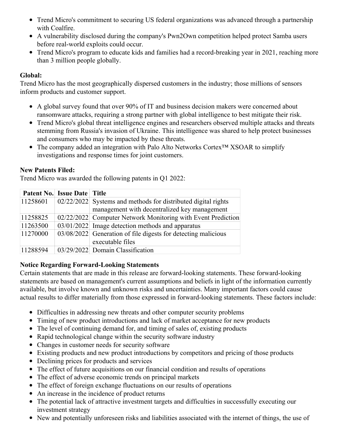- Trend Micro's commitment to securing US federal organizations was advanced through a partnership with Coalfire.
- A vulnerability disclosed during the company's Pwn2Own competition helped protect Samba users before real-world exploits could occur.
- Trend Micro's program to educate kids and families had a record-breaking year in 2021, reaching more than 3 million people globally.

### **Global:**

Trend Micro has the most geographically dispersed customers in the industry; those millions of sensors inform products and customer support.

- A global survey found that over 90% of IT and business decision makers were concerned about ransomware attacks, requiring a strong partner with global intelligence to best mitigate their risk.
- Trend Micro's global threat intelligence engines and researchers observed multiple attacks and threats stemming from Russia's invasion of Ukraine. This intelligence was shared to help protect businesses and consumers who may be impacted by these threats.
- The company added an integration with Palo Alto Networks Cortex™ XSOAR to simplify investigations and response times for joint customers.

#### **New Patents Filed:**

Trend Micro was awarded the following patents in Q1 2022:

|          | <b>Patent No. Issue Date Title</b> |                                                               |
|----------|------------------------------------|---------------------------------------------------------------|
| 11258601 |                                    | 02/22/2022 Systems and methods for distributed digital rights |
|          |                                    | management with decentralized key management                  |
| 11258825 |                                    | 02/22/2022 Computer Network Monitoring with Event Prediction  |
| 11263500 |                                    | $03/01/2022$ Image detection methods and apparatus            |
| 11270000 |                                    | 03/08/2022 Generation of file digests for detecting malicious |
|          |                                    | executable files                                              |
| 11288594 |                                    | 03/29/2022 Domain Classification                              |

#### **Notice Regarding Forward-Looking Statements**

Certain statements that are made in this release are forward-looking statements. These forward-looking statements are based on management's current assumptions and beliefs in light of the information currently available, but involve known and unknown risks and uncertainties. Many important factors could cause actual results to differ materially from those expressed in forward-looking statements. These factors include:

- Difficulties in addressing new threats and other computer security problems
- Timing of new product introductions and lack of market acceptance for new products
- The level of continuing demand for, and timing of sales of, existing products
- Rapid technological change within the security software industry
- Changes in customer needs for security software
- Existing products and new product introductions by competitors and pricing of those products
- Declining prices for products and services
- The effect of future acquisitions on our financial condition and results of operations
- The effect of adverse economic trends on principal markets
- The effect of foreign exchange fluctuations on our results of operations
- An increase in the incidence of product returns
- The potential lack of attractive investment targets and difficulties in successfully executing our investment strategy
- New and potentially unforeseen risks and liabilities associated with the internet of things, the use of